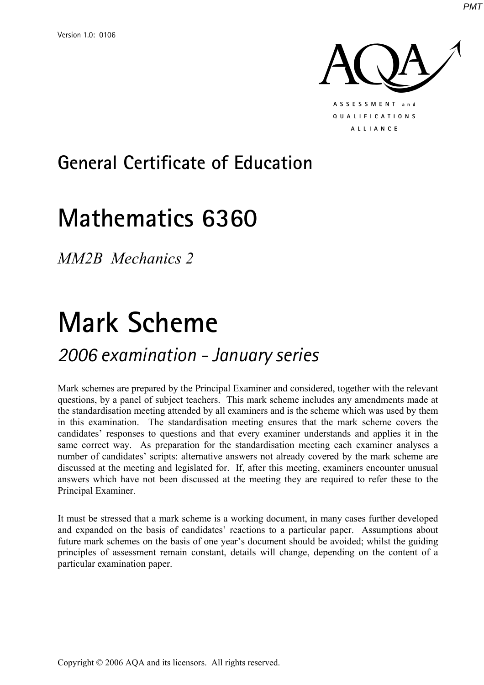

## **General Certificate of Education**

## **Mathematics 6360**

*MM2B Mechanics 2* 

# **Mark Scheme**

### *2006 examination - January series*

Mark schemes are prepared by the Principal Examiner and considered, together with the relevant questions, by a panel of subject teachers. This mark scheme includes any amendments made at the standardisation meeting attended by all examiners and is the scheme which was used by them in this examination. The standardisation meeting ensures that the mark scheme covers the candidates' responses to questions and that every examiner understands and applies it in the same correct way. As preparation for the standardisation meeting each examiner analyses a number of candidates' scripts: alternative answers not already covered by the mark scheme are discussed at the meeting and legislated for. If, after this meeting, examiners encounter unusual answers which have not been discussed at the meeting they are required to refer these to the Principal Examiner.

It must be stressed that a mark scheme is a working document, in many cases further developed and expanded on the basis of candidates' reactions to a particular paper. Assumptions about future mark schemes on the basis of one year's document should be avoided; whilst the guiding principles of assessment remain constant, details will change, depending on the content of a particular examination paper.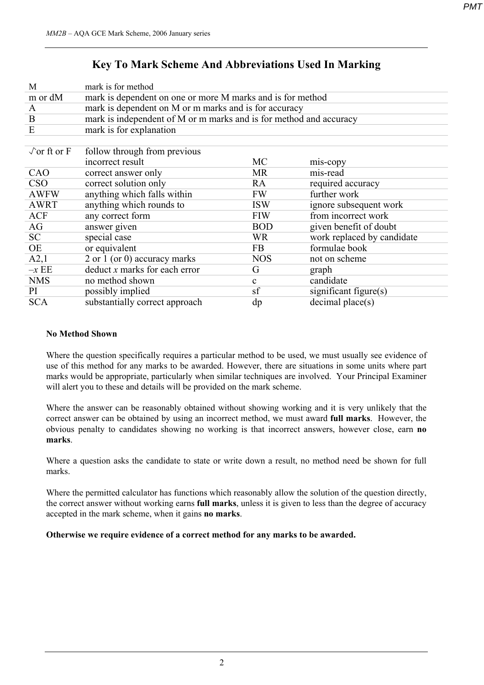### **Key To Mark Scheme And Abbreviations Used In Marking**

| M                          | mark is for method                                                 |              |                            |  |
|----------------------------|--------------------------------------------------------------------|--------------|----------------------------|--|
| m or dM                    | mark is dependent on one or more M marks and is for method         |              |                            |  |
| $\mathbf{A}$               | mark is dependent on M or m marks and is for accuracy              |              |                            |  |
| B                          | mark is independent of M or m marks and is for method and accuracy |              |                            |  |
| E                          | mark is for explanation                                            |              |                            |  |
|                            |                                                                    |              |                            |  |
| $\sqrt{\text{or ft or F}}$ | follow through from previous                                       |              |                            |  |
|                            | incorrect result                                                   | MC           | mis-copy                   |  |
| CAO                        | correct answer only                                                | <b>MR</b>    | mis-read                   |  |
| <b>CSO</b>                 | correct solution only                                              | RA           | required accuracy          |  |
| <b>AWFW</b>                | anything which falls within                                        | <b>FW</b>    | further work               |  |
| <b>AWRT</b>                | anything which rounds to                                           | <b>ISW</b>   | ignore subsequent work     |  |
| <b>ACF</b>                 | any correct form                                                   | <b>FIW</b>   | from incorrect work        |  |
| AG                         | answer given                                                       | <b>BOD</b>   | given benefit of doubt     |  |
| SC                         | special case                                                       | <b>WR</b>    | work replaced by candidate |  |
| OE                         | or equivalent                                                      | FB           | formulae book              |  |
| A2,1                       | 2 or 1 (or 0) accuracy marks                                       | <b>NOS</b>   | not on scheme              |  |
| $-xEE$                     | $deduct x$ marks for each error                                    | G            | graph                      |  |
| <b>NMS</b>                 | no method shown                                                    | $\mathbf{c}$ | candidate                  |  |
| PI                         | possibly implied                                                   | sf           | significant figure(s)      |  |
| <b>SCA</b>                 | substantially correct approach                                     | dp           | decimal place(s)           |  |
|                            |                                                                    |              |                            |  |

#### **No Method Shown**

Where the question specifically requires a particular method to be used, we must usually see evidence of use of this method for any marks to be awarded. However, there are situations in some units where part marks would be appropriate, particularly when similar techniques are involved. Your Principal Examiner will alert you to these and details will be provided on the mark scheme.

Where the answer can be reasonably obtained without showing working and it is very unlikely that the correct answer can be obtained by using an incorrect method, we must award **full marks**. However, the obvious penalty to candidates showing no working is that incorrect answers, however close, earn **no marks**.

Where a question asks the candidate to state or write down a result, no method need be shown for full marks.

Where the permitted calculator has functions which reasonably allow the solution of the question directly, the correct answer without working earns **full marks**, unless it is given to less than the degree of accuracy accepted in the mark scheme, when it gains **no marks**.

**Otherwise we require evidence of a correct method for any marks to be awarded.**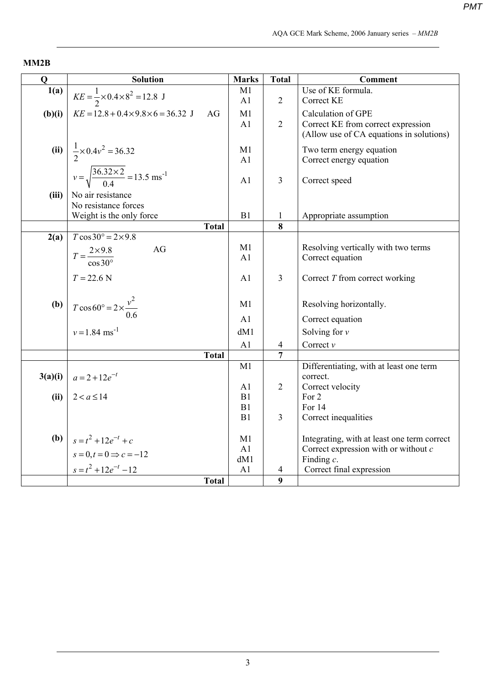#### **MM2B**

| Q      | <b>Solution</b>                                                | <b>Marks</b>   | <b>Total</b>   | <b>Comment</b>                              |
|--------|----------------------------------------------------------------|----------------|----------------|---------------------------------------------|
| 1(a)   | $KE = \frac{1}{2} \times 0.4 \times 8^2 = 12.8 \text{ J}$      | M1             |                | Use of KE formula.                          |
|        |                                                                | A1             | $\overline{2}$ | <b>Correct KE</b>                           |
| (b)(i) | $KE = 12.8 + 0.4 \times 9.8 \times 6 = 36.32$ J<br>AG          | M1             |                | <b>Calculation of GPE</b>                   |
|        |                                                                | A1             | $\overline{2}$ | Correct KE from correct expression          |
|        |                                                                |                |                | (Allow use of CA equations in solutions)    |
|        | (ii) $\frac{1}{2} \times 0.4v^2 = 36.32$                       | M1             |                | Two term energy equation                    |
|        |                                                                | A1             |                | Correct energy equation                     |
|        | $v = \sqrt{\frac{36.32 \times 2}{0.4}} = 13.5 \text{ ms}^{-1}$ |                |                |                                             |
|        |                                                                | A1             | 3              | Correct speed                               |
| (iii)  | No air resistance                                              |                |                |                                             |
|        | No resistance forces                                           |                |                |                                             |
|        | Weight is the only force                                       | B1             | $\mathbf{1}$   | Appropriate assumption                      |
|        | <b>Total</b>                                                   |                | 8              |                                             |
| 2(a)   | $T\cos 30^\circ = 2 \times 9.8$                                |                |                |                                             |
|        | AG<br>$T = \frac{2 \times 9.8}{\cos 30^{\circ}}$               | M1             |                | Resolving vertically with two terms         |
|        |                                                                | A1             |                | Correct equation                            |
|        | $T = 22.6$ N                                                   | A <sub>1</sub> | $\overline{3}$ | Correct T from correct working              |
|        |                                                                |                |                |                                             |
|        |                                                                | M1             |                |                                             |
|        | <b>(b)</b> $T \cos 60^\circ = 2 \times \frac{v^2}{0.6}$        |                |                | Resolving horizontally.                     |
|        |                                                                | A1             |                | Correct equation                            |
|        | $v = 1.84$ ms <sup>-1</sup>                                    | dM1            |                | Solving for $\nu$                           |
|        |                                                                | A <sub>1</sub> | 4              | Correct $\nu$                               |
|        | <b>Total</b>                                                   |                | $\overline{7}$ |                                             |
|        |                                                                | M1             |                | Differentiating, with at least one term     |
|        | $3(a)(i)   a = 2 + 12e^{-t}$                                   |                | $\overline{2}$ | correct.                                    |
| (ii)   | $2 < a \leq 14$                                                | A1<br>B1       |                | Correct velocity<br>For 2                   |
|        |                                                                | B1             |                | For 14                                      |
|        |                                                                | B1             | 3              | Correct inequalities                        |
|        |                                                                |                |                |                                             |
|        | <b>(b)</b> $s = t^2 + 12e^{-t} + c$                            | M1             |                | Integrating, with at least one term correct |
|        | $s=0, t=0 \Rightarrow c=-12$                                   | A1             |                | Correct expression with or without $c$      |
|        |                                                                | dM1            |                | Finding $c$ .                               |
|        | $s = t^2 + 12e^{-t} - 12$                                      | A1             | 4              | Correct final expression                    |
|        | <b>Total</b>                                                   |                | 9              |                                             |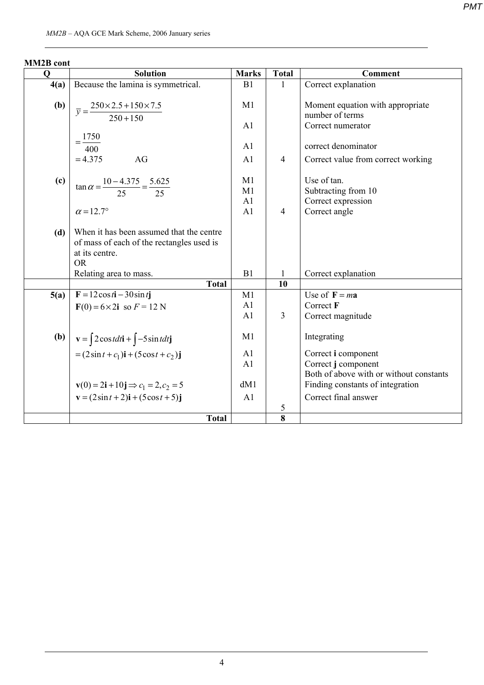| <b>MM2B</b> cont |
|------------------|
|------------------|

| Q                           | <b>Solution</b>                                                                                                      | <b>Marks</b>   | <b>Total</b>   | <b>Comment</b>                                      |
|-----------------------------|----------------------------------------------------------------------------------------------------------------------|----------------|----------------|-----------------------------------------------------|
| 4(a)                        | Because the lamina is symmetrical.                                                                                   | B <sub>1</sub> | 1              | Correct explanation                                 |
| (b)                         | $\overline{y} = \frac{250 \times 2.5 + 150 \times 7.5}{250 + 150}$                                                   | M1             |                | Moment equation with appropriate<br>number of terms |
|                             |                                                                                                                      | A1             |                | Correct numerator                                   |
|                             | 1750                                                                                                                 |                |                |                                                     |
|                             | 400                                                                                                                  | A1             |                | correct denominator                                 |
|                             | $= 4.375$<br>AG                                                                                                      | A1             | $\overline{4}$ | Correct value from correct working                  |
| $\left( \mathbf{c} \right)$ | $\tan \alpha = \frac{10 - 4.375}{25} = \frac{5.625}{25}$                                                             | M1             |                | Use of tan.                                         |
|                             |                                                                                                                      | M1             |                | Subtracting from 10                                 |
|                             |                                                                                                                      | A1             |                | Correct expression                                  |
|                             | $\alpha$ = 12.7°                                                                                                     | A <sub>1</sub> | $\overline{4}$ | Correct angle                                       |
| (d)                         | When it has been assumed that the centre<br>of mass of each of the rectangles used is<br>at its centre.<br><b>OR</b> |                |                |                                                     |
|                             | Relating area to mass.                                                                                               | B1             | 1              | Correct explanation                                 |
|                             | <b>Total</b>                                                                                                         |                | 10             |                                                     |
| 5(a)                        | $\mathbf{F} = 12 \cos t \mathbf{i} - 30 \sin t \mathbf{j}$                                                           | M1             |                | Use of $\mathbf{F} = m\mathbf{a}$                   |
|                             | $F(0) = 6 \times 2i$ so $F = 12$ N                                                                                   | A1             |                | Correct F                                           |
|                             |                                                                                                                      | A1             | 3              | Correct magnitude                                   |
| <b>(b)</b>                  | $\mathbf{v} = \int 2\cos t dt \mathbf{i} + \int -5\sin t dt \mathbf{j}$                                              | M1             |                | Integrating                                         |
|                             | $=(2\sin t + c_1)i + (5\cos t + c_2)j$                                                                               | A <sub>1</sub> |                | Correct i component                                 |
|                             |                                                                                                                      | A1             |                | Correct j component                                 |
|                             |                                                                                                                      |                |                | Both of above with or without constants             |
|                             | $\mathbf{v}(0) = 2\mathbf{i} + 10\mathbf{j} \Rightarrow c_1 = 2, c_2 = 5$                                            | dM1            |                | Finding constants of integration                    |
|                             | $\mathbf{v} = (2\sin t + 2)\mathbf{i} + (5\cos t + 5)\mathbf{j}$                                                     | A <sub>1</sub> |                | Correct final answer                                |
|                             |                                                                                                                      |                | 5              |                                                     |
|                             | <b>Total</b>                                                                                                         |                | 8              |                                                     |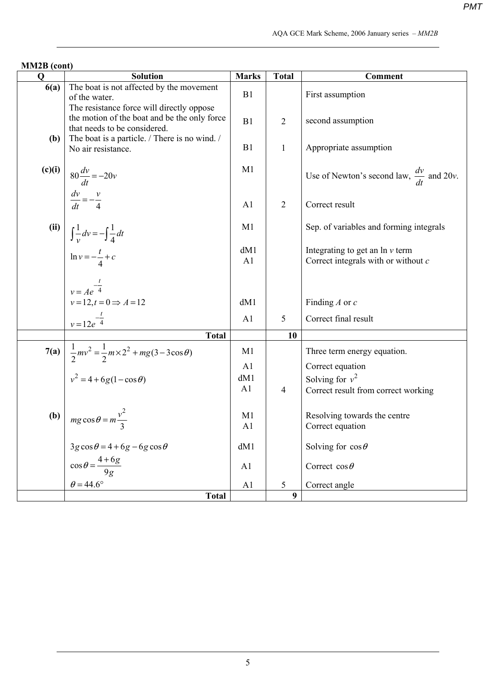| MM2B (cont) |                                                                                                                           |                                  |                  |                                                                             |
|-------------|---------------------------------------------------------------------------------------------------------------------------|----------------------------------|------------------|-----------------------------------------------------------------------------|
| $\mathbf 0$ | <b>Solution</b>                                                                                                           | <b>Marks</b>                     | <b>Total</b>     | <b>Comment</b>                                                              |
| 6(a)        | The boat is not affected by the movement<br>of the water.                                                                 | B1                               |                  | First assumption                                                            |
|             | The resistance force will directly oppose<br>the motion of the boat and be the only force<br>that needs to be considered. | B1                               | $\overline{2}$   | second assumption                                                           |
| (b)         | The boat is a particle. / There is no wind. /<br>No air resistance.                                                       | B1                               | $\mathbf{1}$     | Appropriate assumption                                                      |
| (c)(i)      | $80\frac{dv}{dt} = -20v$                                                                                                  | M1                               |                  | Use of Newton's second law, $\frac{dv}{dt}$ and 20v.                        |
|             | $\frac{dv}{dt} = -\frac{v}{4}$                                                                                            | A <sub>1</sub>                   | $\overline{2}$   | Correct result                                                              |
| (ii)        | $\int \frac{1}{v} dv = -\int \frac{1}{4} dt$                                                                              | M1                               |                  | Sep. of variables and forming integrals                                     |
|             | $\ln v = -\frac{t}{4} + c$                                                                                                | dM1<br>A1                        |                  | Integrating to get an $\ln v$ term<br>Correct integrals with or without $c$ |
|             | $v = Ae^{-\frac{t}{4}}$                                                                                                   |                                  |                  |                                                                             |
|             | $v=12, t=0 \Rightarrow A=12$                                                                                              | dM1                              |                  | Finding $A$ or $c$                                                          |
|             | $v = 12e^{-\frac{t}{4}}$                                                                                                  | A1                               | 5                | Correct final result                                                        |
|             | <b>Total</b>                                                                                                              |                                  | 10               |                                                                             |
|             | 7(a) $\frac{1}{2}mv^2 = \frac{1}{2}m \times 2^2 + mg(3 - 3\cos\theta)$<br>$v^2 = 4 + 6g(1 - \cos\theta)$                  | M1                               |                  | Three term energy equation.                                                 |
|             |                                                                                                                           | A <sub>1</sub>                   |                  | Correct equation                                                            |
|             |                                                                                                                           | dM1                              |                  | Solving for $v^2$                                                           |
|             |                                                                                                                           | A <sub>1</sub>                   | $\overline{4}$   | Correct result from correct working                                         |
| (b)         | $mg \cos \theta = m \frac{v^2}{2}$                                                                                        | M <sub>1</sub><br>A <sub>1</sub> |                  | Resolving towards the centre<br>Correct equation                            |
|             | $3g\cos\theta = 4 + 6g - 6g\cos\theta$                                                                                    | dM1                              |                  | Solving for $\cos \theta$                                                   |
|             | $\cos\theta = \frac{4+6g}{9g}$                                                                                            | A <sub>1</sub>                   |                  | Correct $\cos \theta$                                                       |
|             | $\theta$ = 44.6°                                                                                                          | A1                               | 5                | Correct angle                                                               |
|             | <b>Total</b>                                                                                                              |                                  | $\boldsymbol{9}$ |                                                                             |